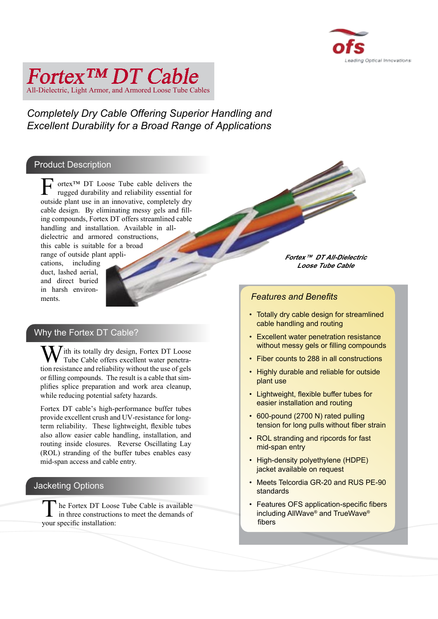

# All-Dielectric, Light Armor, and Armored Loose Tube Only Fortex™ DT Cable

*Completely Dry Cable Offering Superior Handling and Excellent Durability for a Broad Range of Applications* 

# Product Description

**F** ortex<sup>™</sup> DT Loose Tube cable delivers the rugged durability and reliability essential for outside plant use in an innovative, completely dry cable design. By eliminating messy gels and filling compounds, Fortex DT offers streamlined cable handling and installation. Available in alldielectric and armored constructions, this cable is suitable for a broad range of outside plant appli-

cations, including duct, lashed aerial, and direct buried in harsh environments.

## Why the Fortex DT Cable?

**W**ith its totally dry design, Fortex DT Loose Tube Cable offers excellent water penetration resistance and reliability without the use of gels or filling compounds. The result is a cable that simplifies splice preparation and work area cleanup, while reducing potential safety hazards.

Fortex DT cable's high-performance buffer tubes provide excellent crush and UV-resistance for longterm reliability. These lightweight, flexible tubes also allow easier cable handling, installation, and routing inside closures. Reverse Oscillating Lay (ROL) stranding of the buffer tubes enables easy mid-span access and cable entry.

# Jacketing Options

**T**he Fortex DT Loose Tube Cable is available in three constructions to meet the demands of your specific installation:

**Fortex™ DT All-Dielectric Loose Tube Cable**

 $\leq$ 

### *Features and Benefits*

- Totally dry cable design for streamlined cable handling and routing
- Excellent water penetration resistance without messy gels or filling compounds
- Fiber counts to 288 in all constructions
- Highly durable and reliable for outside plant use
- Lightweight, flexible buffer tubes for easier installation and routing
- 600-pound (2700 N) rated pulling tension for long pulls without fiber strain
- ROL stranding and ripcords for fast mid-span entry
- High-density polyethylene (HDPE) jacket available on request
- Meets Telcordia GR-20 and RUS PE-90 standards
- Features OFS application-specific fibers including AllWave® and TrueWave® fibers